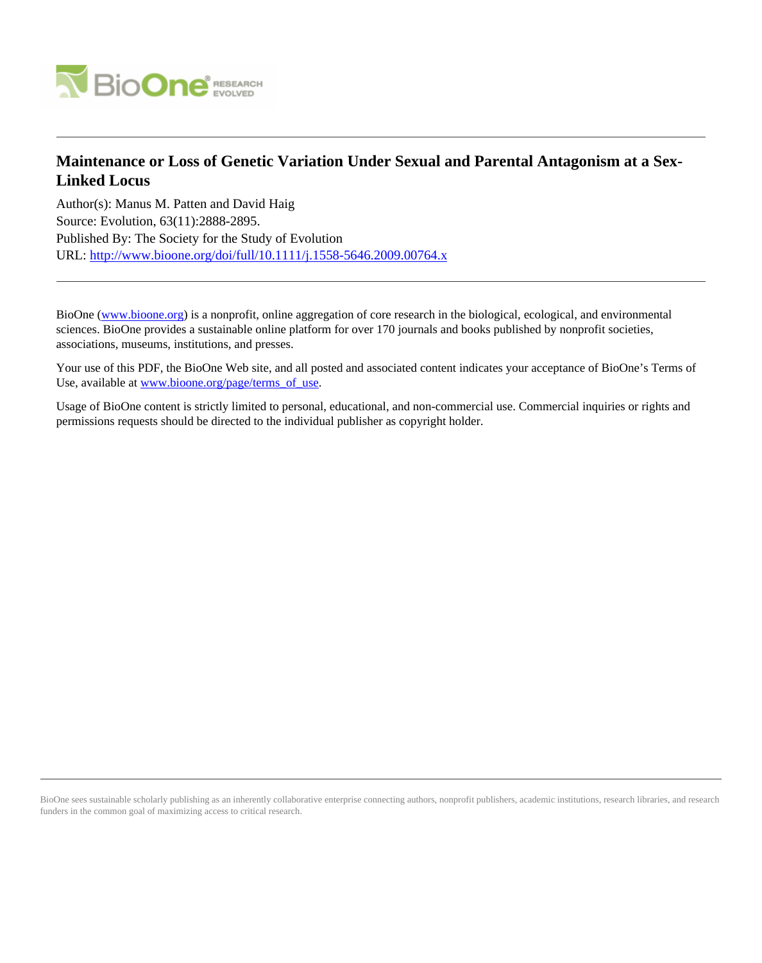

## **Maintenance or Loss of Genetic Variation Under Sexual and Parental Antagonism at a Sex-Linked Locus**

Author(s): Manus M. Patten and David Haig Source: Evolution, 63(11):2888-2895. Published By: The Society for the Study of Evolution URL: <http://www.bioone.org/doi/full/10.1111/j.1558-5646.2009.00764.x>

BioOne [\(www.bioone.org\)](http://www.bioone.org) is a nonprofit, online aggregation of core research in the biological, ecological, and environmental sciences. BioOne provides a sustainable online platform for over 170 journals and books published by nonprofit societies, associations, museums, institutions, and presses.

Your use of this PDF, the BioOne Web site, and all posted and associated content indicates your acceptance of BioOne's Terms of Use, available at [www.bioone.org/page/terms\\_of\\_use](http://www.bioone.org/page/terms_of_use).

Usage of BioOne content is strictly limited to personal, educational, and non-commercial use. Commercial inquiries or rights and permissions requests should be directed to the individual publisher as copyright holder.

BioOne sees sustainable scholarly publishing as an inherently collaborative enterprise connecting authors, nonprofit publishers, academic institutions, research libraries, and research funders in the common goal of maximizing access to critical research.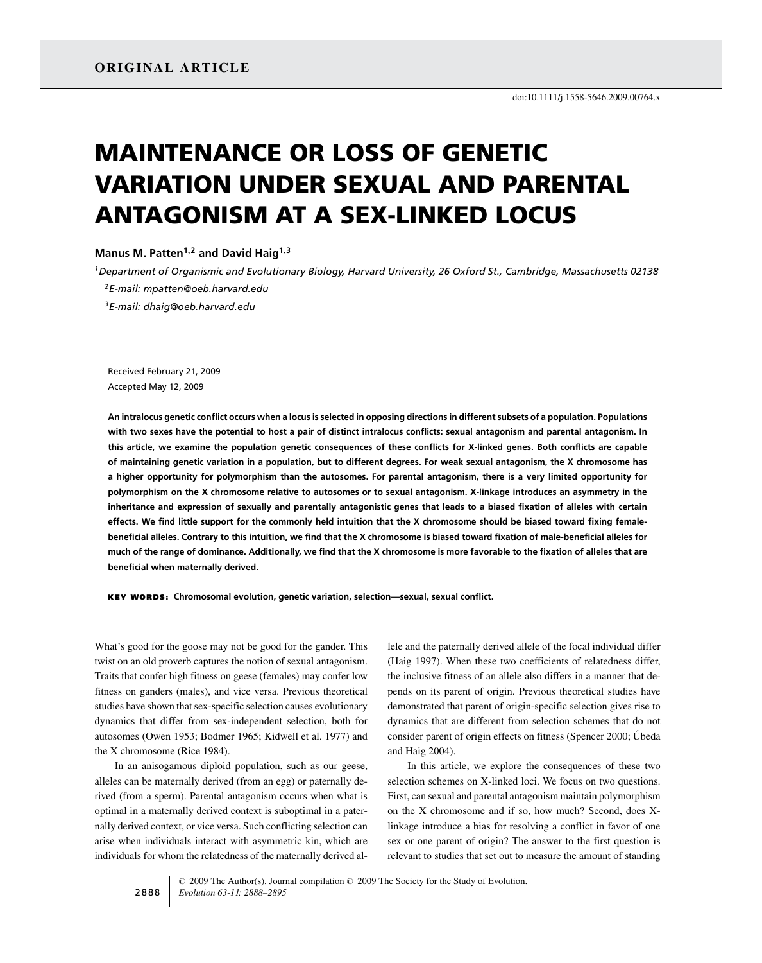# **MAINTENANCE OR LOSS OF GENETIC VARIATION UNDER SEXUAL AND PARENTAL ANTAGONISM AT A SEX-LINKED LOCUS**

#### **Manus M. Patten1,<sup>2</sup> and David Haig1,<sup>3</sup>**

*1Department of Organismic and Evolutionary Biology, Harvard University, 26 Oxford St., Cambridge, Massachusetts 02138*

*2E-mail: mpatten@oeb.harvard.edu*

*3E-mail: dhaig@oeb.harvard.edu*

Received February 21, 2009 Accepted May 12, 2009

**An intralocus genetic conflict occurs when a locus is selected in opposing directions in different subsets of a population. Populations with two sexes have the potential to host a pair of distinct intralocus conflicts: sexual antagonism and parental antagonism. In this article, we examine the population genetic consequences of these conflicts for X-linked genes. Both conflicts are capable of maintaining genetic variation in a population, but to different degrees. For weak sexual antagonism, the X chromosome has a higher opportunity for polymorphism than the autosomes. For parental antagonism, there is a very limited opportunity for polymorphism on the X chromosome relative to autosomes or to sexual antagonism. X-linkage introduces an asymmetry in the inheritance and expression of sexually and parentally antagonistic genes that leads to a biased fixation of alleles with certain effects. We find little support for the commonly held intuition that the X chromosome should be biased toward fixing femalebeneficial alleles. Contrary to this intuition, we find that the X chromosome is biased toward fixation of male-beneficial alleles for much of the range of dominance. Additionally, we find that the X chromosome is more favorable to the fixation of alleles that are beneficial when maternally derived.**

**KEY WORDS: Chromosomal evolution, genetic variation, selection—sexual, sexual conflict.**

What's good for the goose may not be good for the gander. This twist on an old proverb captures the notion of sexual antagonism. Traits that confer high fitness on geese (females) may confer low fitness on ganders (males), and vice versa. Previous theoretical studies have shown that sex-specific selection causes evolutionary dynamics that differ from sex-independent selection, both for autosomes (Owen 1953; Bodmer 1965; Kidwell et al. 1977) and the X chromosome (Rice 1984).

In an anisogamous diploid population, such as our geese, alleles can be maternally derived (from an egg) or paternally derived (from a sperm). Parental antagonism occurs when what is optimal in a maternally derived context is suboptimal in a paternally derived context, or vice versa. Such conflicting selection can arise when individuals interact with asymmetric kin, which are individuals for whom the relatedness of the maternally derived allele and the paternally derived allele of the focal individual differ (Haig 1997). When these two coefficients of relatedness differ, the inclusive fitness of an allele also differs in a manner that depends on its parent of origin. Previous theoretical studies have demonstrated that parent of origin-specific selection gives rise to dynamics that are different from selection schemes that do not consider parent of origin effects on fitness (Spencer 2000; Ubeda ´ and Haig 2004).

In this article, we explore the consequences of these two selection schemes on X-linked loci. We focus on two questions. First, can sexual and parental antagonism maintain polymorphism on the X chromosome and if so, how much? Second, does Xlinkage introduce a bias for resolving a conflict in favor of one sex or one parent of origin? The answer to the first question is relevant to studies that set out to measure the amount of standing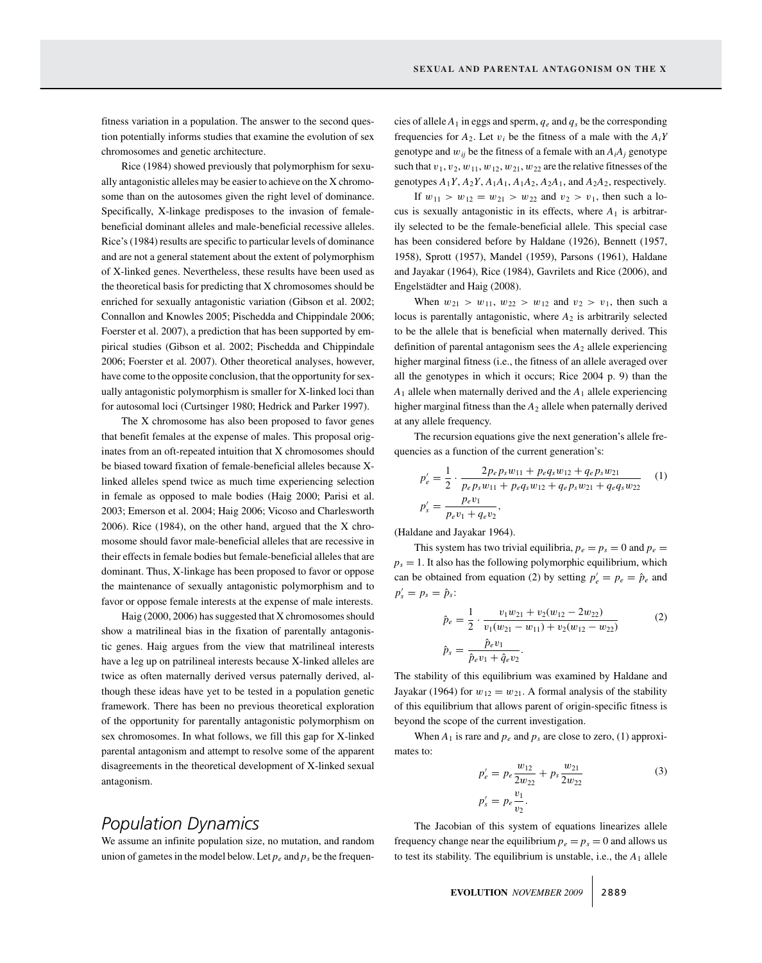fitness variation in a population. The answer to the second question potentially informs studies that examine the evolution of sex chromosomes and genetic architecture.

Rice (1984) showed previously that polymorphism for sexually antagonistic alleles may be easier to achieve on the X chromosome than on the autosomes given the right level of dominance. Specifically, X-linkage predisposes to the invasion of femalebeneficial dominant alleles and male-beneficial recessive alleles. Rice's (1984) results are specific to particular levels of dominance and are not a general statement about the extent of polymorphism of X-linked genes. Nevertheless, these results have been used as the theoretical basis for predicting that X chromosomes should be enriched for sexually antagonistic variation (Gibson et al. 2002; Connallon and Knowles 2005; Pischedda and Chippindale 2006; Foerster et al. 2007), a prediction that has been supported by empirical studies (Gibson et al. 2002; Pischedda and Chippindale 2006; Foerster et al. 2007). Other theoretical analyses, however, have come to the opposite conclusion, that the opportunity for sexually antagonistic polymorphism is smaller for X-linked loci than for autosomal loci (Curtsinger 1980; Hedrick and Parker 1997).

The X chromosome has also been proposed to favor genes that benefit females at the expense of males. This proposal originates from an oft-repeated intuition that X chromosomes should be biased toward fixation of female-beneficial alleles because Xlinked alleles spend twice as much time experiencing selection in female as opposed to male bodies (Haig 2000; Parisi et al. 2003; Emerson et al. 2004; Haig 2006; Vicoso and Charlesworth 2006). Rice (1984), on the other hand, argued that the X chromosome should favor male-beneficial alleles that are recessive in their effects in female bodies but female-beneficial alleles that are dominant. Thus, X-linkage has been proposed to favor or oppose the maintenance of sexually antagonistic polymorphism and to favor or oppose female interests at the expense of male interests.

Haig (2000, 2006) has suggested that X chromosomes should show a matrilineal bias in the fixation of parentally antagonistic genes. Haig argues from the view that matrilineal interests have a leg up on patrilineal interests because X-linked alleles are twice as often maternally derived versus paternally derived, although these ideas have yet to be tested in a population genetic framework. There has been no previous theoretical exploration of the opportunity for parentally antagonistic polymorphism on sex chromosomes. In what follows, we fill this gap for X-linked parental antagonism and attempt to resolve some of the apparent disagreements in the theoretical development of X-linked sexual antagonism.

### *Population Dynamics*

We assume an infinite population size, no mutation, and random union of gametes in the model below. Let  $p_e$  and  $p_s$  be the frequencies of allele  $A_1$  in eggs and sperm,  $q_e$  and  $q_s$  be the corresponding frequencies for  $A_2$ . Let  $v_i$  be the fitness of a male with the  $A_iY$ genotype and  $w_{ij}$  be the fitness of a female with an  $A_iA_j$  genotype such that  $v_1, v_2, w_{11}, w_{12}, w_{21}, w_{22}$  are the relative fitnesses of the genotypes  $A_1Y$ ,  $A_2Y$ ,  $A_1A_1$ ,  $A_1A_2$ ,  $A_2A_1$ , and  $A_2A_2$ , respectively.

If  $w_{11} > w_{12} = w_{21} > w_{22}$  and  $v_2 > v_1$ , then such a locus is sexually antagonistic in its effects, where  $A_1$  is arbitrarily selected to be the female-beneficial allele. This special case has been considered before by Haldane (1926), Bennett (1957, 1958), Sprott (1957), Mandel (1959), Parsons (1961), Haldane and Jayakar (1964), Rice (1984), Gavrilets and Rice (2006), and Engelstädter and Haig (2008).

When  $w_{21} > w_{11}$ ,  $w_{22} > w_{12}$  and  $v_2 > v_1$ , then such a locus is parentally antagonistic, where  $A_2$  is arbitrarily selected to be the allele that is beneficial when maternally derived. This definition of parental antagonism sees the  $A_2$  allele experiencing higher marginal fitness (i.e., the fitness of an allele averaged over all the genotypes in which it occurs; Rice 2004 p. 9) than the *A*<sup>1</sup> allele when maternally derived and the *A*<sup>1</sup> allele experiencing higher marginal fitness than the *A*<sup>2</sup> allele when paternally derived at any allele frequency.

The recursion equations give the next generation's allele frequencies as a function of the current generation's:

$$
p'_e = \frac{1}{2} \cdot \frac{2p_e p_s w_{11} + p_e q_s w_{12} + q_e p_s w_{21}}{p_e p_s w_{11} + p_e q_s w_{12} + q_e p_s w_{21} + q_e q_s w_{22}} \tag{1}
$$
  

$$
p'_s = \frac{p_e v_1}{p_e v_1 + q_e v_2},
$$

(Haldane and Jayakar 1964).

This system has two trivial equilibria,  $p_e = p_s = 0$  and  $p_e =$  $p_s = 1$ . It also has the following polymorphic equilibrium, which can be obtained from equation (2) by setting  $p'_e = p_e = \hat{p}_e$  and  $p'_{s} = p_{s} = \hat{p}_{s}$ :

$$
\hat{p}_e = \frac{1}{2} \cdot \frac{v_1 w_{21} + v_2 (w_{12} - 2w_{22})}{v_1 (w_{21} - w_{11}) + v_2 (w_{12} - w_{22})}
$$
\n
$$
\hat{p}_s = \frac{\hat{p}_e v_1}{\hat{p}_e v_1 + \hat{q}_e v_2}.
$$
\n(2)

The stability of this equilibrium was examined by Haldane and Jayakar (1964) for  $w_{12} = w_{21}$ . A formal analysis of the stability of this equilibrium that allows parent of origin-specific fitness is beyond the scope of the current investigation.

When  $A_1$  is rare and  $p_e$  and  $p_s$  are close to zero, (1) approximates to:

$$
p'_e = p_e \frac{w_{12}}{2w_{22}} + p_s \frac{w_{21}}{2w_{22}}
$$
  
\n
$$
p'_s = p_e \frac{v_1}{v_2}.
$$
\n(3)

The Jacobian of this system of equations linearizes allele frequency change near the equilibrium  $p_e = p_s = 0$  and allows us to test its stability. The equilibrium is unstable, i.e., the  $A_1$  allele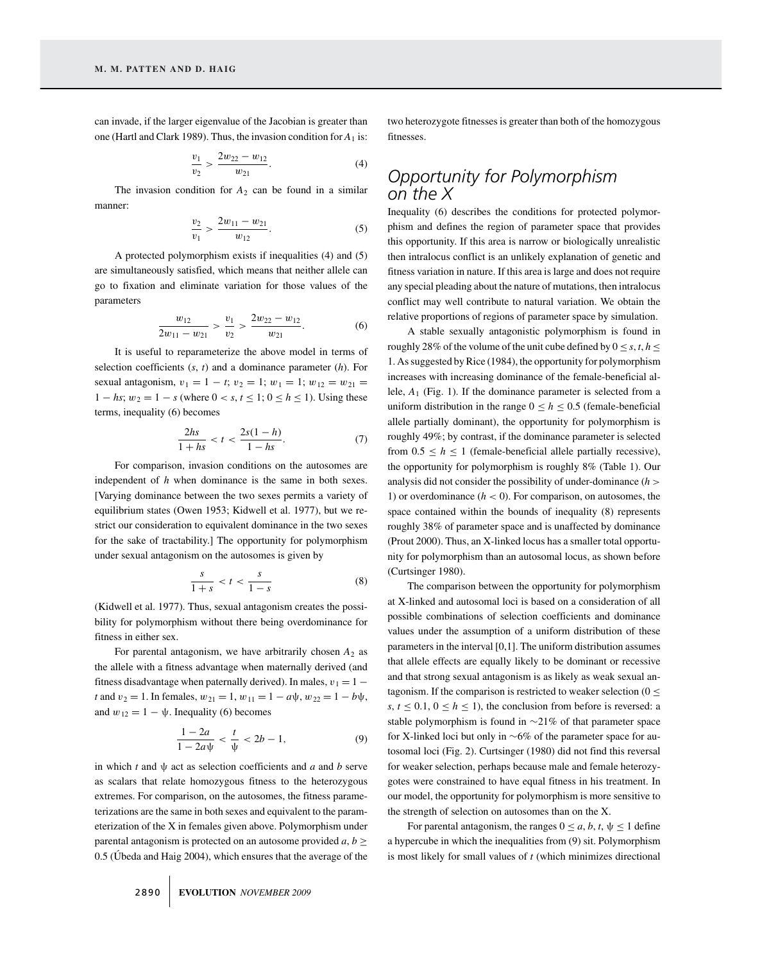can invade, if the larger eigenvalue of the Jacobian is greater than one (Hartl and Clark 1989). Thus, the invasion condition for  $A_1$  is:

$$
\frac{v_1}{v_2} > \frac{2w_{22} - w_{12}}{w_{21}}.\tag{4}
$$

The invasion condition for  $A_2$  can be found in a similar manner:

$$
\frac{v_2}{v_1} > \frac{2w_{11} - w_{21}}{w_{12}}.\tag{5}
$$

A protected polymorphism exists if inequalities (4) and (5) are simultaneously satisfied, which means that neither allele can go to fixation and eliminate variation for those values of the parameters

$$
\frac{w_{12}}{2w_{11} - w_{21}} > \frac{v_1}{v_2} > \frac{2w_{22} - w_{12}}{w_{21}}.
$$
 (6)

It is useful to reparameterize the above model in terms of selection coefficients (*s*, *t*) and a dominance parameter (*h*). For sexual antagonism,  $v_1 = 1 - t$ ;  $v_2 = 1$ ;  $w_1 = 1$ ;  $w_{12} = w_{21} =$  $1 - hs$ ;  $w_2 = 1 - s$  (where  $0 < s, t \le 1$ ;  $0 \le h \le 1$ ). Using these terms, inequality (6) becomes

$$
\frac{2hs}{1+hs} < t < \frac{2s(1-h)}{1-hs}.\tag{7}
$$

For comparison, invasion conditions on the autosomes are independent of *h* when dominance is the same in both sexes. [Varying dominance between the two sexes permits a variety of equilibrium states (Owen 1953; Kidwell et al. 1977), but we restrict our consideration to equivalent dominance in the two sexes for the sake of tractability.] The opportunity for polymorphism under sexual antagonism on the autosomes is given by

$$
\frac{s}{1+s} < t < \frac{s}{1-s} \tag{8}
$$

(Kidwell et al. 1977). Thus, sexual antagonism creates the possibility for polymorphism without there being overdominance for fitness in either sex.

For parental antagonism, we have arbitrarily chosen  $A_2$  as the allele with a fitness advantage when maternally derived (and fitness disadvantage when paternally derived). In males,  $v_1 = 1$ *t* and  $v_2 = 1$ . In females,  $w_{21} = 1$ ,  $w_{11} = 1 - a\psi$ ,  $w_{22} = 1 - b\psi$ , and  $w_{12} = 1 - \psi$ . Inequality (6) becomes

$$
\frac{1-2a}{1-2a\psi} < \frac{t}{\psi} < 2b - 1,\tag{9}
$$

in which *t* and ψ act as selection coefficients and *a* and *b* serve as scalars that relate homozygous fitness to the heterozygous extremes. For comparison, on the autosomes, the fitness parameterizations are the same in both sexes and equivalent to the parameterization of the X in females given above. Polymorphism under parental antagonism is protected on an autosome provided  $a, b \geq 1$ 0.5 (Ubeda and Haig 2004), which ensures that the average of the ´ two heterozygote fitnesses is greater than both of the homozygous fitnesses.

### *Opportunity for Polymorphism on the X*

Inequality (6) describes the conditions for protected polymorphism and defines the region of parameter space that provides this opportunity. If this area is narrow or biologically unrealistic then intralocus conflict is an unlikely explanation of genetic and fitness variation in nature. If this area is large and does not require any special pleading about the nature of mutations, then intralocus conflict may well contribute to natural variation. We obtain the relative proportions of regions of parameter space by simulation.

A stable sexually antagonistic polymorphism is found in roughly 28% of the volume of the unit cube defined by  $0 \leq s, t, h \leq$ 1. As suggested by Rice (1984), the opportunity for polymorphism increases with increasing dominance of the female-beneficial allele,  $A_1$  (Fig. 1). If the dominance parameter is selected from a uniform distribution in the range  $0 \le h \le 0.5$  (female-beneficial allele partially dominant), the opportunity for polymorphism is roughly 49%; by contrast, if the dominance parameter is selected from  $0.5 \le h \le 1$  (female-beneficial allele partially recessive), the opportunity for polymorphism is roughly 8% (Table 1). Our analysis did not consider the possibility of under-dominance  $(h >$ 1) or overdominance  $(h < 0)$ . For comparison, on autosomes, the space contained within the bounds of inequality (8) represents roughly 38% of parameter space and is unaffected by dominance (Prout 2000). Thus, an X-linked locus has a smaller total opportunity for polymorphism than an autosomal locus, as shown before (Curtsinger 1980).

The comparison between the opportunity for polymorphism at X-linked and autosomal loci is based on a consideration of all possible combinations of selection coefficients and dominance values under the assumption of a uniform distribution of these parameters in the interval [0,1]. The uniform distribution assumes that allele effects are equally likely to be dominant or recessive and that strong sexual antagonism is as likely as weak sexual antagonism. If the comparison is restricted to weaker selection ( $0 \le$ *s*,  $t \leq 0.1$ ,  $0 \leq h \leq 1$ ), the conclusion from before is reversed: a stable polymorphism is found in ∼21% of that parameter space for X-linked loci but only in ∼6% of the parameter space for autosomal loci (Fig. 2). Curtsinger (1980) did not find this reversal for weaker selection, perhaps because male and female heterozygotes were constrained to have equal fitness in his treatment. In our model, the opportunity for polymorphism is more sensitive to the strength of selection on autosomes than on the X.

For parental antagonism, the ranges  $0 \le a, b, t, \psi \le 1$  define a hypercube in which the inequalities from (9) sit. Polymorphism is most likely for small values of *t* (which minimizes directional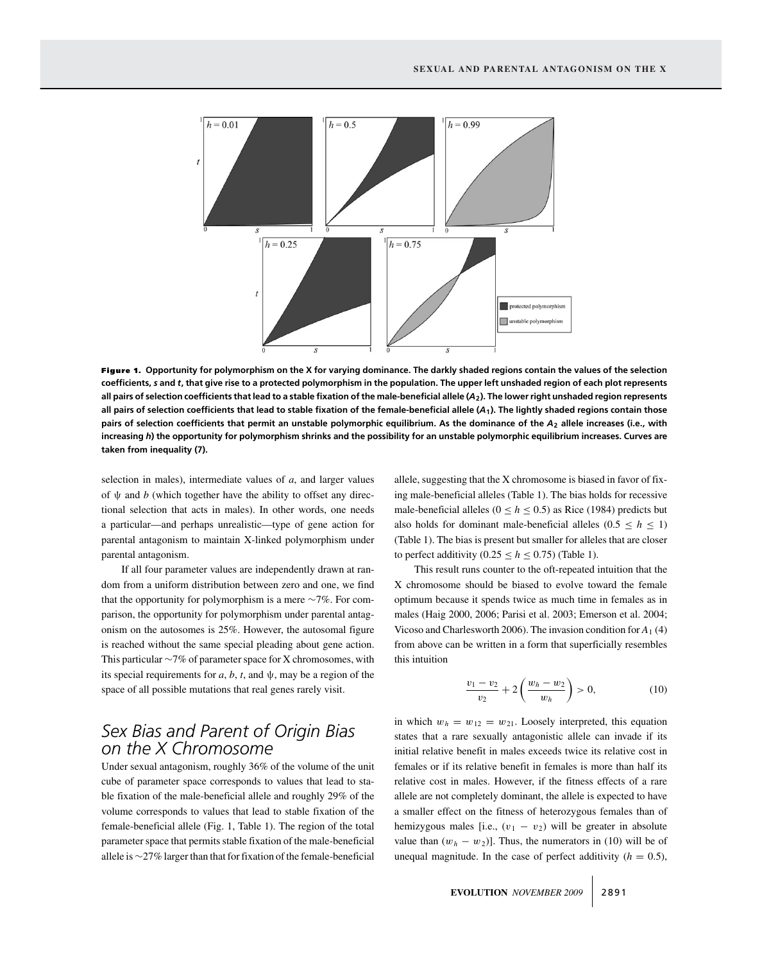

**Figure 1. Opportunity for polymorphism on the X for varying dominance. The darkly shaded regions contain the values of the selection coefficients,** *s* **and** *t***, that give rise to a protected polymorphism in the population. The upper left unshaded region of each plot represents all pairs of selection coefficients that lead to a stable fixation of the male-beneficial allele (***A***2). The lower right unshaded region represents all pairs of selection coefficients that lead to stable fixation of the female-beneficial allele (***A***1). The lightly shaded regions contain those pairs of selection coefficients that permit an unstable polymorphic equilibrium. As the dominance of the** *A***<sup>2</sup> allele increases (i.e., with increasing** *h***) the opportunity for polymorphism shrinks and the possibility for an unstable polymorphic equilibrium increases. Curves are taken from inequality (7).**

selection in males), intermediate values of *a*, and larger values of  $\psi$  and *b* (which together have the ability to offset any directional selection that acts in males). In other words, one needs a particular—and perhaps unrealistic—type of gene action for parental antagonism to maintain X-linked polymorphism under parental antagonism.

If all four parameter values are independently drawn at random from a uniform distribution between zero and one, we find that the opportunity for polymorphism is a mere  $\sim$ 7%. For comparison, the opportunity for polymorphism under parental antagonism on the autosomes is 25%. However, the autosomal figure is reached without the same special pleading about gene action. This particular  $\sim$ 7% of parameter space for X chromosomes, with its special requirements for  $a, b, t$ , and  $\psi$ , may be a region of the space of all possible mutations that real genes rarely visit.

# *Sex Bias and Parent of Origin Bias on the X Chromosome*

Under sexual antagonism, roughly 36% of the volume of the unit cube of parameter space corresponds to values that lead to stable fixation of the male-beneficial allele and roughly 29% of the volume corresponds to values that lead to stable fixation of the female-beneficial allele (Fig. 1, Table 1). The region of the total parameter space that permits stable fixation of the male-beneficial allele is ∼27% larger than that for fixation of the female-beneficial

allele, suggesting that the X chromosome is biased in favor of fixing male-beneficial alleles (Table 1). The bias holds for recessive male-beneficial alleles ( $0 \le h \le 0.5$ ) as Rice (1984) predicts but also holds for dominant male-beneficial alleles  $(0.5 \le h \le 1)$ (Table 1). The bias is present but smaller for alleles that are closer to perfect additivity ( $0.25 \le h \le 0.75$ ) (Table 1).

This result runs counter to the oft-repeated intuition that the X chromosome should be biased to evolve toward the female optimum because it spends twice as much time in females as in males (Haig 2000, 2006; Parisi et al. 2003; Emerson et al. 2004; Vicoso and Charlesworth 2006). The invasion condition for  $A_1$  (4) from above can be written in a form that superficially resembles this intuition

$$
\frac{v_1 - v_2}{v_2} + 2\left(\frac{w_h - w_2}{w_h}\right) > 0, \tag{10}
$$

in which  $w_h = w_{12} = w_{21}$ . Loosely interpreted, this equation states that a rare sexually antagonistic allele can invade if its initial relative benefit in males exceeds twice its relative cost in females or if its relative benefit in females is more than half its relative cost in males. However, if the fitness effects of a rare allele are not completely dominant, the allele is expected to have a smaller effect on the fitness of heterozygous females than of hemizygous males [i.e.,  $(v_1 - v_2)$  will be greater in absolute value than  $(w_h - w_2)$ ]. Thus, the numerators in (10) will be of unequal magnitude. In the case of perfect additivity  $(h = 0.5)$ ,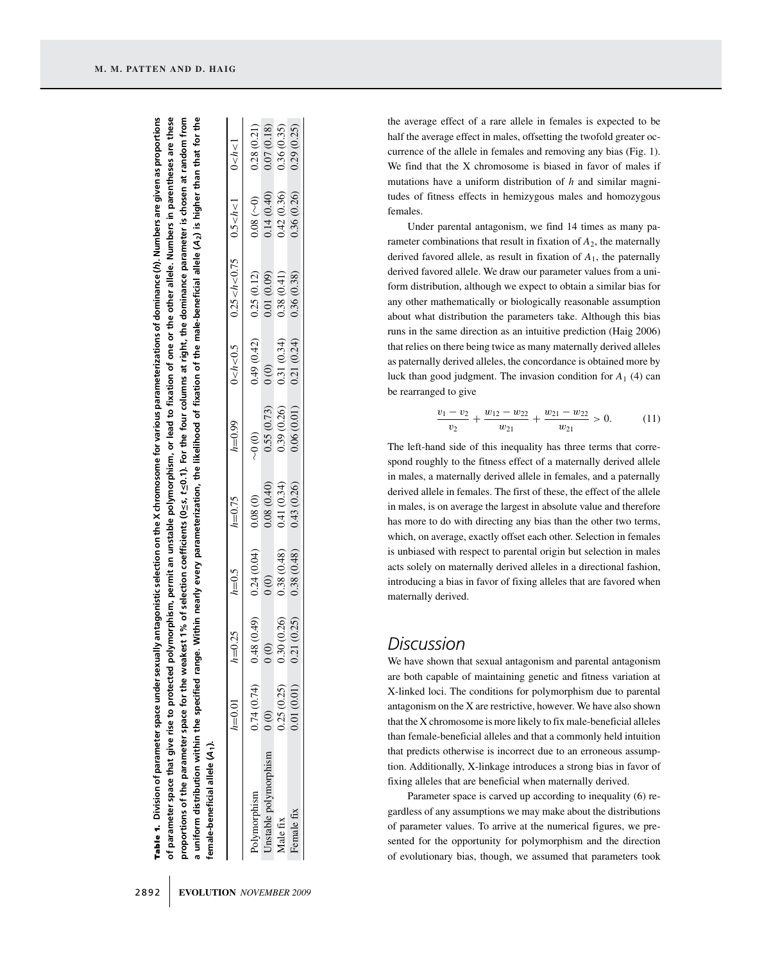Table 1. Division of parameter space under sexually antagonistic selection on the X chromosome for various parameterizations of dominance (h). Numbers are given as proportions

the average effect of a rare allele in females is expected to be half the average effect in males, offsetting the twofold greater occurrence of the allele in females and removing any bias (Fig. 1). We find that the X chromosome is biased in favor of males if mutations have a uniform distribution of *h* and similar magnitudes of fitness effects in hemizygous males and homozygous females.

Under parental antagonism, we find 14 times as many parameter combinations that result in fixation of  $A_2$ , the maternally derived favored allele, as result in fixation of *A*1, the paternally derived favored allele. We draw our parameter values from a uniform distribution, although we expect to obtain a similar bias for any other mathematically or biologically reasonable assumption about what distribution the parameters take. Although this bias runs in the same direction as an intuitive prediction (Haig 2006) that relies on there being twice as many maternally derived alleles as paternally derived alleles, the concordance is obtained more by luck than good judgment. The invasion condition for  $A_1$  (4) can be rearranged to give

$$
\frac{v_1 - v_2}{v_2} + \frac{w_{12} - w_{22}}{w_{21}} + \frac{w_{21} - w_{22}}{w_{21}} > 0.
$$
 (11)

The left-hand side of this inequality has three terms that correspond roughly to the fitness effect of a maternally derived allele in males, a maternally derived allele in females, and a paternally derived allele in females. The first of these, the effect of the allele in males, is on average the largest in absolute value and therefore has more to do with directing any bias than the other two terms, which, on average, exactly offset each other. Selection in females is unbiased with respect to parental origin but selection in males acts solely on maternally derived alleles in a directional fashion, introducing a bias in favor of fixing alleles that are favored when maternally derived.

#### *Discussion*

We have shown that sexual antagonism and parental antagonism are both capable of maintaining genetic and fitness variation at X-linked loci. The conditions for polymorphism due to parental antagonism on the X are restrictive, however. We have also shown that the X chromosome is more likely to fix male-beneficial alleles than female-beneficial alleles and that a commonly held intuition that predicts otherwise is incorrect due to an erroneous assumption. Additionally, X-linkage introduces a strong bias in favor of fixing alleles that are beneficial when maternally derived.

Parameter space is carved up according to inequality (6) regardless of any assumptions we may make about the distributions of parameter values. To arrive at the numerical figures, we presented for the opportunity for polymorphism and the direction of evolutionary bias, though, we assumed that parameters took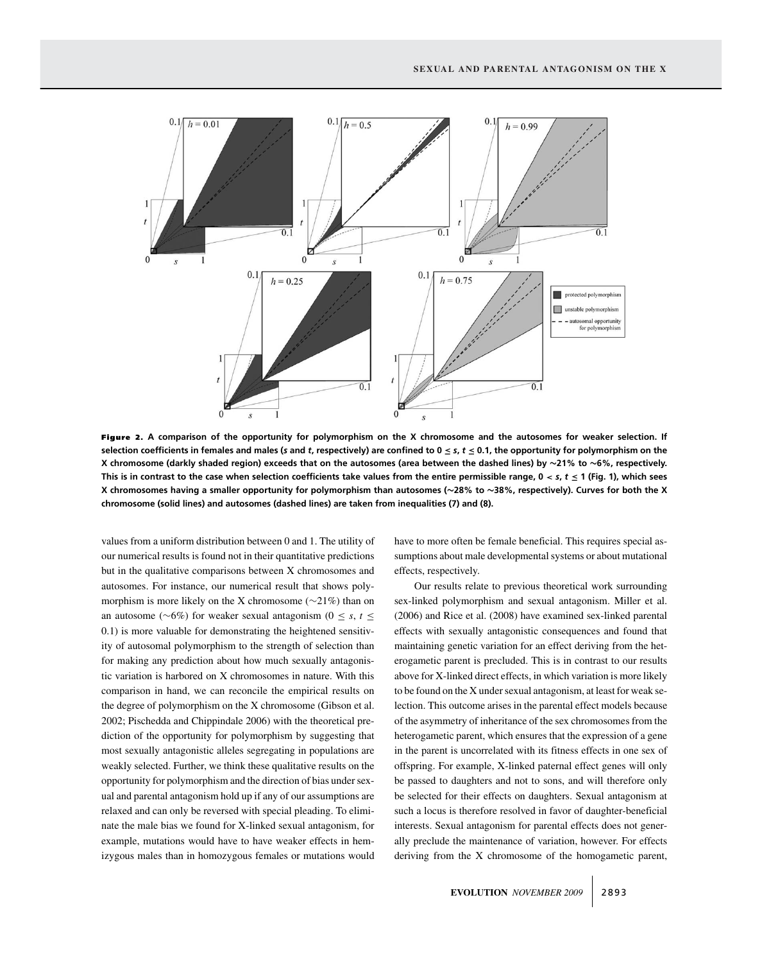

**Figure 2. A comparison of the opportunity for polymorphism on the X chromosome and the autosomes for weaker selection. If** selection coefficients in females and males (*s* and *t*, respectively) are confined to  $0 \le s$ ,  $t \le 0.1$ , the opportunity for polymorphism on the **X chromosome (darkly shaded region) exceeds that on the autosomes (area between the dashed lines) by ∼21% to ∼6%, respectively.** This is in contrast to the case when selection coefficients take values from the entire permissible range,  $0 < s$ ,  $t \le 1$  (Fig. 1), which sees **X chromosomes having a smaller opportunity for polymorphism than autosomes (∼28% to ∼38%, respectively). Curves for both the X chromosome (solid lines) and autosomes (dashed lines) are taken from inequalities (7) and (8).**

values from a uniform distribution between 0 and 1. The utility of our numerical results is found not in their quantitative predictions but in the qualitative comparisons between X chromosomes and autosomes. For instance, our numerical result that shows polymorphism is more likely on the X chromosome ( $\sim$ 21%) than on an autosome (∼6%) for weaker sexual antagonism (0 ≤ *s*, *t* ≤ 0.1) is more valuable for demonstrating the heightened sensitivity of autosomal polymorphism to the strength of selection than for making any prediction about how much sexually antagonistic variation is harbored on X chromosomes in nature. With this comparison in hand, we can reconcile the empirical results on the degree of polymorphism on the X chromosome (Gibson et al. 2002; Pischedda and Chippindale 2006) with the theoretical prediction of the opportunity for polymorphism by suggesting that most sexually antagonistic alleles segregating in populations are weakly selected. Further, we think these qualitative results on the opportunity for polymorphism and the direction of bias under sexual and parental antagonism hold up if any of our assumptions are relaxed and can only be reversed with special pleading. To eliminate the male bias we found for X-linked sexual antagonism, for example, mutations would have to have weaker effects in hemizygous males than in homozygous females or mutations would have to more often be female beneficial. This requires special assumptions about male developmental systems or about mutational effects, respectively.

Our results relate to previous theoretical work surrounding sex-linked polymorphism and sexual antagonism. Miller et al. (2006) and Rice et al. (2008) have examined sex-linked parental effects with sexually antagonistic consequences and found that maintaining genetic variation for an effect deriving from the heterogametic parent is precluded. This is in contrast to our results above for X-linked direct effects, in which variation is more likely to be found on the X under sexual antagonism, at least for weak selection. This outcome arises in the parental effect models because of the asymmetry of inheritance of the sex chromosomes from the heterogametic parent, which ensures that the expression of a gene in the parent is uncorrelated with its fitness effects in one sex of offspring. For example, X-linked paternal effect genes will only be passed to daughters and not to sons, and will therefore only be selected for their effects on daughters. Sexual antagonism at such a locus is therefore resolved in favor of daughter-beneficial interests. Sexual antagonism for parental effects does not generally preclude the maintenance of variation, however. For effects deriving from the X chromosome of the homogametic parent,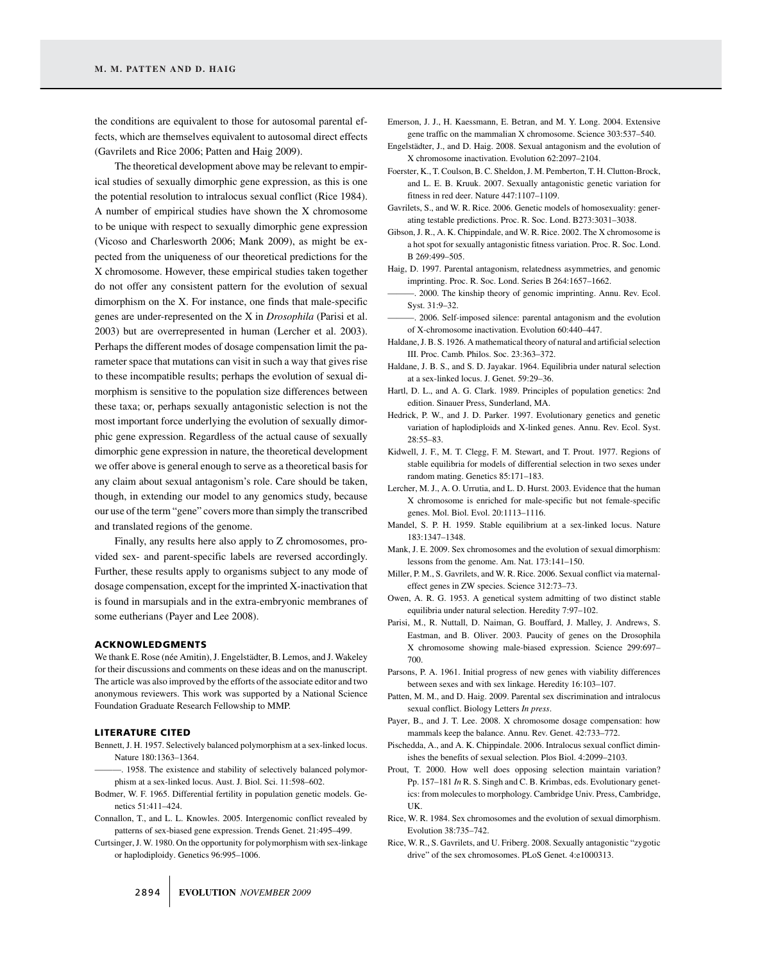the conditions are equivalent to those for autosomal parental effects, which are themselves equivalent to autosomal direct effects (Gavrilets and Rice 2006; Patten and Haig 2009).

The theoretical development above may be relevant to empirical studies of sexually dimorphic gene expression, as this is one the potential resolution to intralocus sexual conflict (Rice 1984). A number of empirical studies have shown the X chromosome to be unique with respect to sexually dimorphic gene expression (Vicoso and Charlesworth 2006; Mank 2009), as might be expected from the uniqueness of our theoretical predictions for the X chromosome. However, these empirical studies taken together do not offer any consistent pattern for the evolution of sexual dimorphism on the X. For instance, one finds that male-specific genes are under-represented on the X in *Drosophila* (Parisi et al. 2003) but are overrepresented in human (Lercher et al. 2003). Perhaps the different modes of dosage compensation limit the parameter space that mutations can visit in such a way that gives rise to these incompatible results; perhaps the evolution of sexual dimorphism is sensitive to the population size differences between these taxa; or, perhaps sexually antagonistic selection is not the most important force underlying the evolution of sexually dimorphic gene expression. Regardless of the actual cause of sexually dimorphic gene expression in nature, the theoretical development we offer above is general enough to serve as a theoretical basis for any claim about sexual antagonism's role. Care should be taken, though, in extending our model to any genomics study, because our use of the term "gene" covers more than simply the transcribed and translated regions of the genome.

Finally, any results here also apply to Z chromosomes, provided sex- and parent-specific labels are reversed accordingly. Further, these results apply to organisms subject to any mode of dosage compensation, except for the imprinted X-inactivation that is found in marsupials and in the extra-embryonic membranes of some eutherians (Payer and Lee 2008).

#### **ACKNOWLEDGMENTS**

We thank E. Rose (née Amitin), J. Engelstädter, B. Lemos, and J. Wakeley for their discussions and comments on these ideas and on the manuscript. The article was also improved by the efforts of the associate editor and two anonymous reviewers. This work was supported by a National Science Foundation Graduate Research Fellowship to MMP.

#### **LITERATURE CITED**

- Bennett, J. H. 1957. Selectively balanced polymorphism at a sex-linked locus. Nature 180:1363–1364.
- . 1958. The existence and stability of selectively balanced polymorphism at a sex-linked locus. Aust. J. Biol. Sci. 11:598–602.
- Bodmer, W. F. 1965. Differential fertility in population genetic models. Genetics 51:411–424.
- Connallon, T., and L. L. Knowles. 2005. Intergenomic conflict revealed by patterns of sex-biased gene expression. Trends Genet. 21:495–499.
- Curtsinger, J. W. 1980. On the opportunity for polymorphism with sex-linkage or haplodiploidy. Genetics 96:995–1006.
- Emerson, J. J., H. Kaessmann, E. Betran, and M. Y. Long. 2004. Extensive gene traffic on the mammalian X chromosome. Science 303:537–540.
- Engelstädter, J., and D. Haig. 2008. Sexual antagonism and the evolution of X chromosome inactivation. Evolution 62:2097–2104.
- Foerster, K., T. Coulson, B. C. Sheldon, J. M. Pemberton, T. H. Clutton-Brock, and L. E. B. Kruuk. 2007. Sexually antagonistic genetic variation for fitness in red deer. Nature 447:1107–1109.
- Gavrilets, S., and W. R. Rice. 2006. Genetic models of homosexuality: generating testable predictions. Proc. R. Soc. Lond. B273:3031–3038.
- Gibson, J. R., A. K. Chippindale, and W. R. Rice. 2002. The X chromosome is a hot spot for sexually antagonistic fitness variation. Proc. R. Soc. Lond. B 269:499–505.
- Haig, D. 1997. Parental antagonism, relatedness asymmetries, and genomic imprinting. Proc. R. Soc. Lond. Series B 264:1657–1662.
- . 2000. The kinship theory of genomic imprinting. Annu. Rev. Ecol. Syst. 31:9–32.
- -. 2006. Self-imposed silence: parental antagonism and the evolution of X-chromosome inactivation. Evolution 60:440–447.
- Haldane, J. B. S. 1926. A mathematical theory of natural and artificial selection III. Proc. Camb. Philos. Soc. 23:363–372.
- Haldane, J. B. S., and S. D. Jayakar. 1964. Equilibria under natural selection at a sex-linked locus. J. Genet. 59:29–36.
- Hartl, D. L., and A. G. Clark. 1989. Principles of population genetics: 2nd edition. Sinauer Press, Sunderland, MA.
- Hedrick, P. W., and J. D. Parker. 1997. Evolutionary genetics and genetic variation of haplodiploids and X-linked genes. Annu. Rev. Ecol. Syst. 28:55–83.
- Kidwell, J. F., M. T. Clegg, F. M. Stewart, and T. Prout. 1977. Regions of stable equilibria for models of differential selection in two sexes under random mating. Genetics 85:171–183.
- Lercher, M. J., A. O. Urrutia, and L. D. Hurst. 2003. Evidence that the human X chromosome is enriched for male-specific but not female-specific genes. Mol. Biol. Evol. 20:1113–1116.
- Mandel, S. P. H. 1959. Stable equilibrium at a sex-linked locus. Nature 183:1347–1348.
- Mank, J. E. 2009. Sex chromosomes and the evolution of sexual dimorphism: lessons from the genome. Am. Nat. 173:141–150.
- Miller, P. M., S. Gavrilets, and W. R. Rice. 2006. Sexual conflict via maternaleffect genes in ZW species. Science 312:73–73.
- Owen, A. R. G. 1953. A genetical system admitting of two distinct stable equilibria under natural selection. Heredity 7:97–102.
- Parisi, M., R. Nuttall, D. Naiman, G. Bouffard, J. Malley, J. Andrews, S. Eastman, and B. Oliver. 2003. Paucity of genes on the Drosophila X chromosome showing male-biased expression. Science 299:697– 700.
- Parsons, P. A. 1961. Initial progress of new genes with viability differences between sexes and with sex linkage. Heredity 16:103–107.
- Patten, M. M., and D. Haig. 2009. Parental sex discrimination and intralocus sexual conflict. Biology Letters *In press*.
- Payer, B., and J. T. Lee. 2008. X chromosome dosage compensation: how mammals keep the balance. Annu. Rev. Genet. 42:733–772.
- Pischedda, A., and A. K. Chippindale. 2006. Intralocus sexual conflict diminishes the benefits of sexual selection. Plos Biol. 4:2099–2103.
- Prout, T. 2000. How well does opposing selection maintain variation? Pp. 157–181 *In* R. S. Singh and C. B. Krimbas, eds. Evolutionary genetics: from molecules to morphology. Cambridge Univ. Press, Cambridge, UK.
- Rice, W. R. 1984. Sex chromosomes and the evolution of sexual dimorphism. Evolution 38:735–742.
- Rice, W. R., S. Gavrilets, and U. Friberg. 2008. Sexually antagonistic "zygotic drive" of the sex chromosomes. PLoS Genet. 4:e1000313.